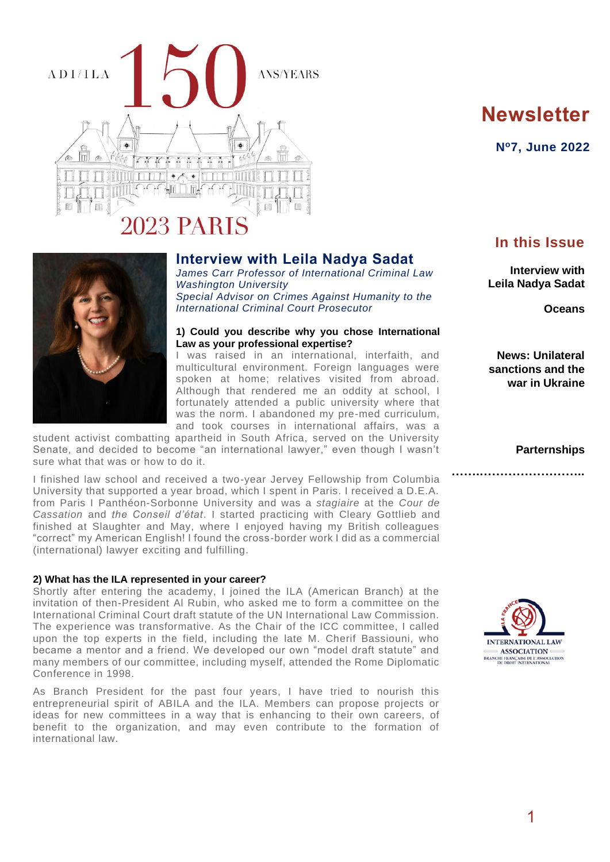

# **Newsletter**

**N<sup>o</sup>7, June 2022**

## **Interview with Leila Nadya Sadat**

*James Carr Professor of International Criminal Law Washington University Special Advisor on Crimes Against Humanity to the International Criminal Court Prosecutor*

#### **1) Could you describe why you chose International Law as your professional expertise?**

I was raised in an international, interfaith, and multicultural environment. Foreign languages were spoken at home; relatives visited from abroad. Although that rendered me an oddity at school, I fortunately attended a public university where that was the norm. I abandoned my pre-med curriculum, and took courses in international affairs, was a

student activist combatting apartheid in South Africa, served on the University Senate, and decided to become "an international lawyer," even though I wasn't sure what that was or how to do it.

I finished law school and received a two-year Jervey Fellowship from Columbia University that supported a year broad, which I spent in Paris. I received a D.E.A. from Paris I Panthéon-Sorbonne University and was a *stagiaire* at the *Cour de Cassation* and *the Conseil d'état*. I started practicing with Cleary Gottlieb and finished at Slaughter and May, where I enjoyed having my British colleagues "correct" my American English! I found the cross-border work I did as a commercial (international) lawyer exciting and fulfilling.

#### **2) What has the ILA represented in your career?**

Shortly after entering the academy, I joined the ILA (American Branch) at the invitation of then-President Al Rubin, who asked me to form a committee on the International Criminal Court draft statute of the UN International Law Commission. The experience was transformative. As the Chair of the ICC committee, I called upon the top experts in the field, including the late M. Cherif Bassiouni, who became a mentor and a friend. We developed our own "model draft statute" and many members of our committee, including myself, attended the Rome Diplomatic Conference in 1998.

As Branch President for the past four years, I have tried to nourish this entrepreneurial spirit of ABILA and the ILA. Members can propose projects or ideas for new committees in a way that is enhancing to their own careers, of benefit to the organization, and may even contribute to the formation of international law.

# **In this Issue**

**Interview with Leila Nadya Sadat**

**Oceans**

**News: Unilateral sanctions and the war in Ukraine**

**Parternships**

**…….……………………..**

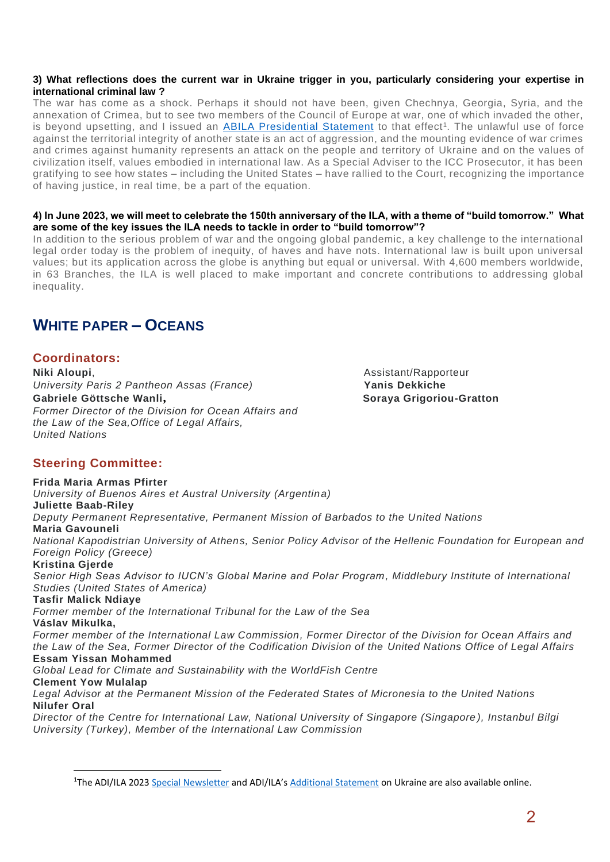#### **3) What reflections does the current war in Ukraine trigger in you, particularly considering your expertise in international criminal law ?**

The war has come as a shock. Perhaps it should not have been, given Chechnya, Georgia, Syria, and the annexation of Crimea, but to see two members of the Council of Europe at war, one of which invaded the other, is beyond upsetting, and I issued an [ABILA Presidential Statement](https://www.ila-americanbranch.org/presidential-statement-on-the-situation-in-ukraine/) to that effect<sup>1</sup>. The unlawful use of force against the territorial integrity of another state is an act of aggression, and the mounting evidence of war crimes and crimes against humanity represents an attack on the people and territory of Ukraine and on the values of civilization itself, values embodied in international law. As a Special Adviser to the ICC Prosecutor, it has been gratifying to see how states – including the United States – have rallied to the Court, recognizing the importance of having justice, in real time, be a part of the equation.

#### **4) In June 2023, we will meet to celebrate the 150th anniversary of the ILA, with a theme of "build tomorrow." What are some of the key issues the ILA needs to tackle in order to "build tomorrow"?**

In addition to the serious problem of war and the ongoing global pandemic, a key challenge to the international legal order today is the problem of inequity, of haves and have nots. International law is built upon universal values; but its application across the globe is anything but equal or universal. With 4,600 members worldwide, in 63 Branches, the ILA is well placed to make important and concrete contributions to addressing global inequality.

# **WHITE PAPER – OCEANS**

### **Coordinators:**

**Niki Aloupi**, **Niki Aloupi**, **Assistant/Rapporteur** *University Paris 2 Pantheon Assas (France)* **Yanis Dekkiche Gabriele Göttsche Wanli, <b>Abrielian Soration** Soraya Grigoriou-Gratton *Former Director of the Division for Ocean Affairs and the Law of the Sea,Office of Legal Affairs, United Nations*

### **Steering Committee:**

**Frida Maria Armas Pfirter** *University of Buenos Aires et Austral University (Argentina)* **Juliette Baab-Riley** *Deputy Permanent Representative, Permanent Mission of Barbados to the United Nations* **Maria Gavouneli** *National Kapodistrian University of Athens, Senior Policy Advisor of the Hellenic Foundation for European and Foreign Policy (Greece)* **Kristina Gjerde** *Senior High Seas Advisor to IUCN's Global Marine and Polar Program, Middlebury Institute of International Studies (United States of America)* **Tasfir Malick Ndiaye** *Former member of the International Tribunal for the Law of the Sea* **Váslav Mikulka,** *Former member of the International Law Commission, Former Director of the Division for Ocean Affairs and the Law of the Sea, Former Director of the Codification Division of the United Nations Office of Legal Affairs* **Essam Yissan Mohammed** *Global Lead for Climate and Sustainability with the WorldFish Centre* **Clement Yow Mulalap** *Legal Advisor at the Permanent Mission of the Federated States of Micronesia to the United Nations* **Nilufer Oral** *Director of the Centre for International Law, National University of Singapore (Singapore ), Instanbul Bilgi University (Turkey), Member of the International Law Commission*

<sup>&</sup>lt;sup>1</sup>The ADI/ILA 2023 [Special Newsletter](https://www.ilaparis2023.org/wp-content/uploads/2022/03/NL-special-newsletter-ukraine.pdf) and ADI/ILA's [Additional Statement](https://www.ilaparis2023.org/wp-content/uploads/2022/03/Statement_on_Situation_in_Ukraine_FINAL_0322.pdf) on Ukraine are also available online.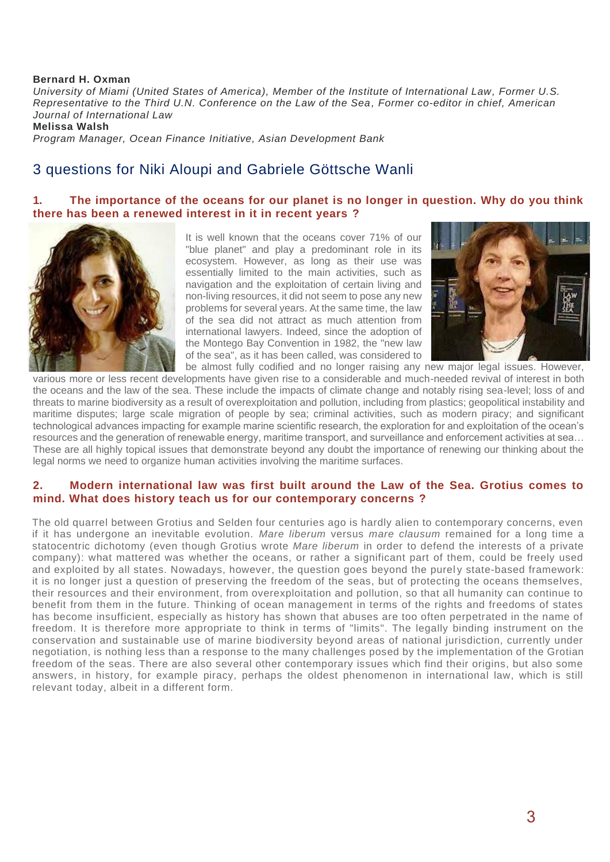#### **Bernard H. Oxman**

*University of Miami (United States of America), Member of the Institute of International Law, Former U.S. Representative to the Third U.N. Conference on the Law of the Sea, Former co-editor in chief, American Journal of International Law*

**Melissa Walsh**

*Program Manager, Ocean Finance Initiative, Asian Development Bank*

# 3 questions for Niki Aloupi and Gabriele Göttsche Wanli

#### **1. The importance of the oceans for our planet is no longer in question. Why do you think there has been a renewed interest in it in recent years ?**



It is well known that the oceans cover 71% of our "blue planet" and play a predominant role in its ecosystem. However, as long as their use was essentially limited to the main activities, such as navigation and the exploitation of certain living and non-living resources, it did not seem to pose any new problems for several years. At the same time, the law of the sea did not attract as much attention from international lawyers. Indeed, since the adoption of the Montego Bay Convention in 1982, the "new law of the sea", as it has been called, was considered to be almost fully codified and no longer raising any new major legal issues. However,



various more or less recent developments have given rise to a considerable and much-needed revival of interest in both the oceans and the law of the sea. These include the impacts of climate change and notably rising sea-level; loss of and threats to marine biodiversity as a result of overexploitation and pollution, including from plastics; geopolitical instability and maritime disputes; large scale migration of people by sea; criminal activities, such as modern piracy; and significant technological advances impacting for example marine scientific research, the exploration for and exploitation of the ocean's resources and the generation of renewable energy, maritime transport, and surveillance and enforcement activities at sea… These are all highly topical issues that demonstrate beyond any doubt the importance of renewing our thinking about the legal norms we need to organize human activities involving the maritime surfaces.

#### **2. Modern international law was first built around the Law of the Sea. Grotius comes to mind. What does history teach us for our contemporary concerns ?**

The old quarrel between Grotius and Selden four centuries ago is hardly alien to contemporary concerns, even if it has undergone an inevitable evolution. *Mare liberum* versus *mare clausum* remained for a long time a statocentric dichotomy (even though Grotius wrote *Mare liberum* in order to defend the interests of a private company): what mattered was whether the oceans, or rather a significant part of them, could be freely used and exploited by all states. Nowadays, however, the question goes beyond the purely state-based framework: it is no longer just a question of preserving the freedom of the seas, but of protecting the oceans themselves, their resources and their environment, from overexploitation and pollution, so that all humanity can continue to benefit from them in the future. Thinking of ocean management in terms of the rights and freedoms of states has become insufficient, especially as history has shown that abuses are too often perpetrated in the name of freedom. It is therefore more appropriate to think in terms of "limits". The legally binding instrument on the conservation and sustainable use of marine biodiversity beyond areas of national jurisdiction, currently under negotiation, is nothing less than a response to the many challenges posed by t he implementation of the Grotian freedom of the seas. There are also several other contemporary issues which find their origins, but also some answers, in history, for example piracy, perhaps the oldest phenomenon in international law, which is still relevant today, albeit in a different form.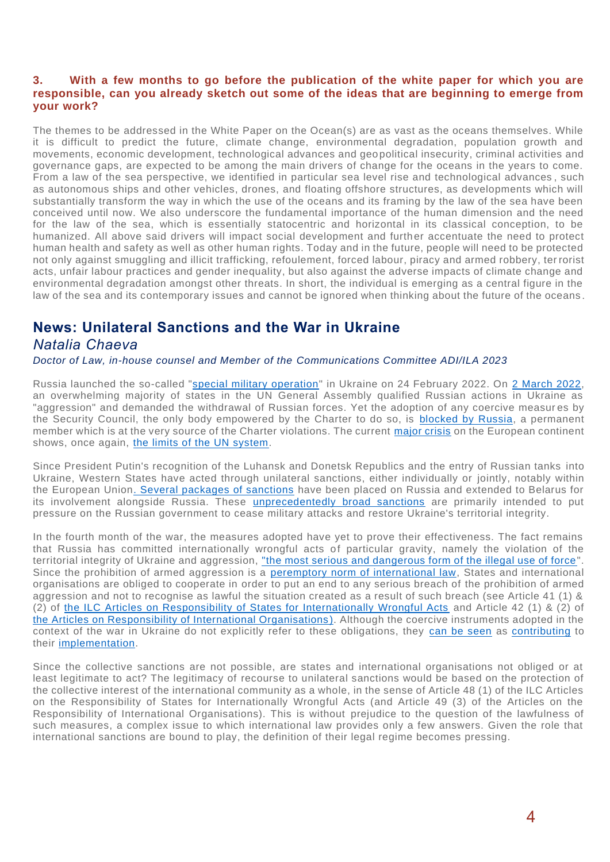#### **3. With a few months to go before the publication of the white paper for which you are responsible, can you already sketch out some of the ideas that are beginning to emerge from your work?**

The themes to be addressed in the White Paper on the Ocean(s) are as vast as the oceans themselves. While it is difficult to predict the future, climate change, environmental degradation, population growth and movements, economic development, technological advances and geopolitical insecurity, criminal activities and governance gaps, are expected to be among the main drivers of change for the oceans in the years to come. From a law of the sea perspective, we identified in particular sea level rise and technological advances , such as autonomous ships and other vehicles, drones, and floating offshore structures, as developments which will substantially transform the way in which the use of the oceans and its framing by the law of the sea have been conceived until now. We also underscore the fundamental importance of the human dimension and the need for the law of the sea, which is essentially statocentric and horizontal in its classical conception, to be humanized. All above said drivers will impact social development and further accentuate the need to protect human health and safety as well as other human rights. Today and in the future, people will need to be protected not only against smuggling and illicit trafficking, refoulement, forced labour, piracy and armed robbery, ter rorist acts, unfair labour practices and gender inequality, but also against the adverse impacts of climate change and environmental degradation amongst other threats. In short, the individual is emerging as a central figure in the law of the sea and its contemporary issues and cannot be ignored when thinking about the future of the oceans .

# **News: Unilateral Sanctions and the War in Ukraine**

# *Natalia Chaeva*

*Doctor of Law, in-house counsel and Member of the Communications Committee ADI/ILA 2023*

Russia launched the so-called ["special military operation"](https://tass.com/defense/1409813?utm_source=google.com&utm_medium=organic&utm_campaign=google.com&utm_referrer=google.com) in Ukraine on 24 February 2022. On [2 March 2022,](https://www.un.org/pga/76/2022/03/02/press-briefing-by-spokesperson-2-march-2022/) an overwhelming majority of states in the UN General Assembly qualified Russian actions in Ukraine as "aggression" and demanded the withdrawal of Russian forces. Yet the adoption of any coercive measur es by the Security Council, the only body empowered by the Charter to do so, is [blocked by Russia,](https://www.un.org/press/en/2022/sc14808.doc.htm) a permanent member which is at the very source of the Charter violations. The current [major crisis](https://news.un.org/en/focus/ukraine) on the European continent shows, once again, [the limits of the UN system.](https://blog.leclubdesjuristes.com/la-guerre-en-ukraine-un-discredit-definitif-pour-lonu-par-jean-marc-sorel-professeur-a-luniversite-paris-1-sorbonne/)

Since President Putin's recognition of the Luhansk and Donetsk Republics and the entry of Russian tanks into Ukraine, Western States have acted through unilateral sanctions, either individually or jointly, notably within the European Unio[n. Several packages of sanctions](https://graphics.reuters.com/UKRAINE-CRISIS/SANCTIONS/byvrjenzmve/) have been placed on Russia and extended to Belarus for its involvement alongside Russia. These [unprecedentedly broad sanctions](https://www.whitehouse.gov/briefing-room/statements-releases/2022/05/08/fact-sheet-united-states-and-g7-partners-impose-severe-costs-for-putins-war-against-ukraine/) are primarily intended to put pressure on the Russian government to cease military attacks and restore Ukraine's territorial integrity.

In the fourth month of the war, the measures adopted have yet to prove their effectiveness. The fact remains that Russia has committed internationally wrongful acts of particular gravity, namely the violation of the territorial integrity of Ukraine and aggression, ["the most serious and dangerous form of the illegal use of force"](http://hrlibrary.umn.edu/instree/GAres3314.html). Since the prohibition of armed aggression is a [peremptory norm of international law,](https://documents-dds-ny.un.org/doc/UNDOC/GEN/G19/243/93/PDF/G1924393.pdf?OpenElement) States and international organisations are obliged to cooperate in order to put an end to any serious breach of the prohibition of armed aggression and not to recognise as lawful the situation created as a result of such breach (see Article 41 (1) & (2) of [the ILC Articles on Responsibility of States for Internationally Wrongful Acts](https://legal.un.org/ilc/texts/instruments/english/draft_articles/9_6_2001.pdf) and Article 42 (1) & (2) of the Articles on Responsibility of International Organisations ). Although the coercive instruments adopted in the context of the war in Ukraine do not explicitly refer to these obligations, they [can be seen](https://blog.leclubdesjuristes.com/les-mesures-restrictives-de-lue-contre-la-russie-fonction-contenu-efficacite-par-charlotte-beaucillon-professeure-de-droit-a-luniversite-de-lille-ed-research-handbook-on-un/) as [contributing](https://ec.europa.eu/commission/presscorner/detail/en/STATEMENT_22_1423) to their [implementation.](https://www.whitehouse.gov/briefing-room/presidential-actions/2022/04/06/prohibiting-new-investment-in-and-certain-services-to-the-russian-federation-in-response-to-continued-russian-federation-aggression/)

Since the collective sanctions are not possible, are states and international organisations not obliged or at least legitimate to act? The legitimacy of recourse to unilateral sanctions would be based on the protection of the collective interest of the international community as a whole, in the sense of Article 48 (1) of the ILC Articles on the Responsibility of States for Internationally Wrongful Acts (and Article 49 (3) of the Articles on the Responsibility of International Organisations). This is without prejudice to the question of the lawfulness of such measures, a complex issue to which international law provides only a few answers. Given the role that international sanctions are bound to play, the definition of their legal regime becomes pressing.